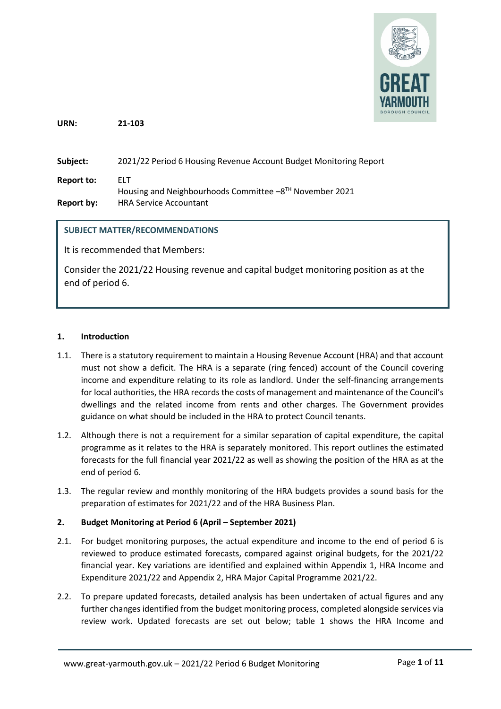

**URN: 21-103**

**Subject:** 2021/22 Period 6 Housing Revenue Account Budget Monitoring Report **Report to:** ELT Housing and Neighbourhoods Committee -8TH November 2021 **Report by:** HRA Service Accountant

## **SUBJECT MATTER/RECOMMENDATIONS**

It is recommended that Members:

Consider the 2021/22 Housing revenue and capital budget monitoring position as at the end of period 6.

#### **1. Introduction**

- 1.1. There is a statutory requirement to maintain a Housing Revenue Account (HRA) and that account must not show a deficit. The HRA is a separate (ring fenced) account of the Council covering income and expenditure relating to its role as landlord. Under the self-financing arrangements for local authorities, the HRA records the costs of management and maintenance of the Council's dwellings and the related income from rents and other charges. The Government provides guidance on what should be included in the HRA to protect Council tenants.
- 1.2. Although there is not a requirement for a similar separation of capital expenditure, the capital programme as it relates to the HRA is separately monitored. This report outlines the estimated forecasts for the full financial year 2021/22 as well as showing the position of the HRA as at the end of period 6.
- 1.3. The regular review and monthly monitoring of the HRA budgets provides a sound basis for the preparation of estimates for 2021/22 and of the HRA Business Plan.

## **2. Budget Monitoring at Period 6 (April – September 2021)**

- 2.1. For budget monitoring purposes, the actual expenditure and income to the end of period 6 is reviewed to produce estimated forecasts, compared against original budgets, for the 2021/22 financial year. Key variations are identified and explained within Appendix 1, HRA Income and Expenditure 2021/22 and Appendix 2, HRA Major Capital Programme 2021/22.
- 2.2. To prepare updated forecasts, detailed analysis has been undertaken of actual figures and any further changes identified from the budget monitoring process, completed alongside services via review work. Updated forecasts are set out below; table 1 shows the HRA Income and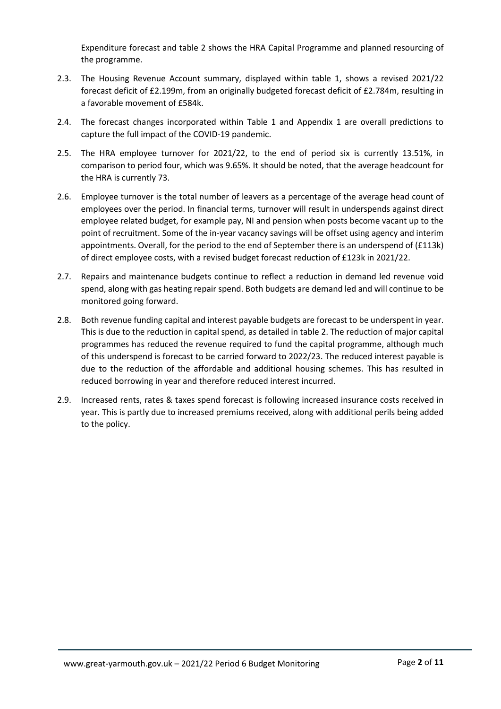Expenditure forecast and table 2 shows the HRA Capital Programme and planned resourcing of the programme.

- 2.3. The Housing Revenue Account summary, displayed within table 1, shows a revised 2021/22 forecast deficit of £2.199m, from an originally budgeted forecast deficit of £2.784m, resulting in a favorable movement of £584k.
- 2.4. The forecast changes incorporated within Table 1 and Appendix 1 are overall predictions to capture the full impact of the COVID-19 pandemic.
- 2.5. The HRA employee turnover for 2021/22, to the end of period six is currently 13.51%, in comparison to period four, which was 9.65%. It should be noted, that the average headcount for the HRA is currently 73.
- 2.6. Employee turnover is the total number of leavers as a percentage of the average head count of employees over the period. In financial terms, turnover will result in underspends against direct employee related budget, for example pay, NI and pension when posts become vacant up to the point of recruitment. Some of the in-year vacancy savings will be offset using agency and interim appointments. Overall, for the period to the end of September there is an underspend of (£113k) of direct employee costs, with a revised budget forecast reduction of £123k in 2021/22.
- 2.7. Repairs and maintenance budgets continue to reflect a reduction in demand led revenue void spend, along with gas heating repair spend. Both budgets are demand led and will continue to be monitored going forward.
- 2.8. Both revenue funding capital and interest payable budgets are forecast to be underspent in year. This is due to the reduction in capital spend, as detailed in table 2. The reduction of major capital programmes has reduced the revenue required to fund the capital programme, although much of this underspend is forecast to be carried forward to 2022/23. The reduced interest payable is due to the reduction of the affordable and additional housing schemes. This has resulted in reduced borrowing in year and therefore reduced interest incurred.
- 2.9. Increased rents, rates & taxes spend forecast is following increased insurance costs received in year. This is partly due to increased premiums received, along with additional perils being added to the policy.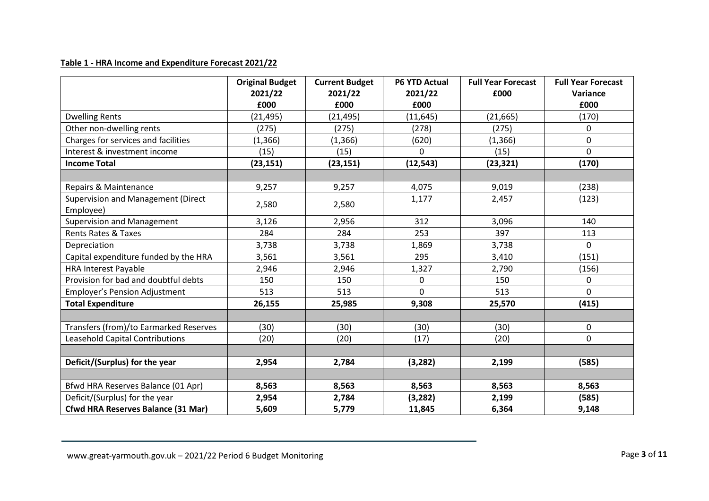## **Table 1 - HRA Income and Expenditure Forecast 2021/22**

|                                           | <b>Original Budget</b><br>2021/22 | <b>Current Budget</b><br>2021/22 | <b>P6 YTD Actual</b><br>2021/22 | <b>Full Year Forecast</b><br>£000 | <b>Full Year Forecast</b><br>Variance |
|-------------------------------------------|-----------------------------------|----------------------------------|---------------------------------|-----------------------------------|---------------------------------------|
|                                           | £000                              | £000                             | £000                            |                                   | £000                                  |
| <b>Dwelling Rents</b>                     | (21, 495)                         | (21, 495)                        | (11, 645)                       | (21, 665)                         | (170)                                 |
| Other non-dwelling rents                  | (275)                             | (275)                            | (278)                           | (275)                             | 0                                     |
| Charges for services and facilities       | (1, 366)                          | (1,366)                          | (620)                           | (1, 366)                          | 0                                     |
| Interest & investment income              | (15)                              | (15)                             | $\Omega$                        | (15)                              | 0                                     |
| <b>Income Total</b>                       | (23, 151)                         | (23, 151)                        | (12, 543)                       | (23, 321)                         | (170)                                 |
|                                           |                                   |                                  |                                 |                                   |                                       |
| Repairs & Maintenance                     | 9,257                             | 9,257                            | 4,075                           | 9,019                             | (238)                                 |
| Supervision and Management (Direct        | 2,580                             | 2,580                            | 1,177                           | 2,457                             | (123)                                 |
| Employee)                                 |                                   |                                  |                                 |                                   |                                       |
| <b>Supervision and Management</b>         | 3,126                             | 2,956                            | 312                             | 3,096                             | 140                                   |
| <b>Rents Rates &amp; Taxes</b>            | 284                               | 284                              | 253                             | 397                               | 113                                   |
| Depreciation                              | 3,738                             | 3,738                            | 1,869                           | 3,738                             | 0                                     |
| Capital expenditure funded by the HRA     | 3,561                             | 3,561                            | 295                             | 3,410                             | (151)                                 |
| <b>HRA Interest Payable</b>               | 2,946                             | 2,946                            | 1,327                           | 2,790                             | (156)                                 |
| Provision for bad and doubtful debts      | 150                               | 150                              | 0                               | 150                               | 0                                     |
| Employer's Pension Adjustment             | 513                               | 513                              | 0                               | 513                               | 0                                     |
| <b>Total Expenditure</b>                  | 26,155                            | 25,985                           | 9,308                           | 25,570                            | (415)                                 |
|                                           |                                   |                                  |                                 |                                   |                                       |
| Transfers (from)/to Earmarked Reserves    | (30)                              | (30)                             | (30)                            | (30)                              | 0                                     |
| Leasehold Capital Contributions           | (20)                              | (20)                             | (17)                            | (20)                              | 0                                     |
|                                           |                                   |                                  |                                 |                                   |                                       |
| Deficit/(Surplus) for the year            | 2,954                             | 2,784                            | (3, 282)                        | 2,199                             | (585)                                 |
|                                           |                                   |                                  |                                 |                                   |                                       |
| Bfwd HRA Reserves Balance (01 Apr)        | 8,563                             | 8,563                            | 8,563                           | 8,563                             | 8,563                                 |
| Deficit/(Surplus) for the year            | 2,954                             | 2,784                            | (3, 282)                        | 2,199                             | (585)                                 |
| <b>Cfwd HRA Reserves Balance (31 Mar)</b> | 5,609                             | 5,779                            | 11,845                          | 6,364                             | 9,148                                 |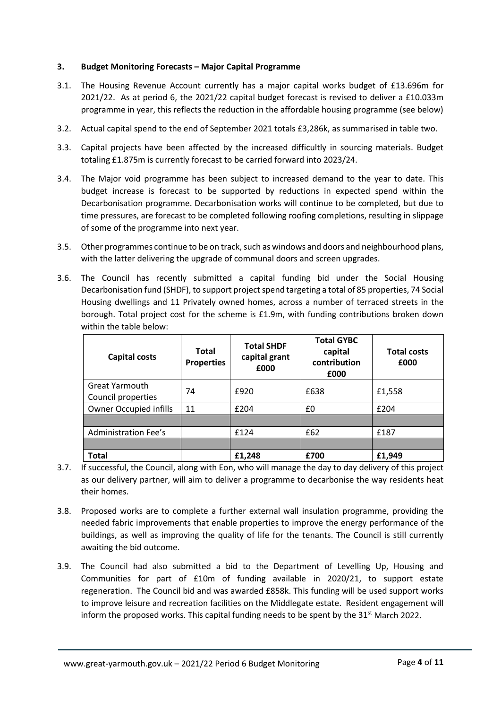### **3. Budget Monitoring Forecasts – Major Capital Programme**

- 3.1. The Housing Revenue Account currently has a major capital works budget of £13.696m for 2021/22. As at period 6, the 2021/22 capital budget forecast is revised to deliver a £10.033m programme in year, this reflects the reduction in the affordable housing programme (see below)
- 3.2. Actual capital spend to the end of September 2021 totals £3,286k, as summarised in table two.
- 3.3. Capital projects have been affected by the increased difficultly in sourcing materials. Budget totaling £1.875m is currently forecast to be carried forward into 2023/24.
- 3.4. The Major void programme has been subject to increased demand to the year to date. This budget increase is forecast to be supported by reductions in expected spend within the Decarbonisation programme. Decarbonisation works will continue to be completed, but due to time pressures, are forecast to be completed following roofing completions, resulting in slippage of some of the programme into next year.
- 3.5. Other programmes continue to be on track, such as windows and doors and neighbourhood plans, with the latter delivering the upgrade of communal doors and screen upgrades.
- 3.6. The Council has recently submitted a capital funding bid under the Social Housing Decarbonisation fund (SHDF), to support project spend targeting a total of 85 properties, 74 Social Housing dwellings and 11 Privately owned homes, across a number of terraced streets in the borough. Total project cost for the scheme is £1.9m, with funding contributions broken down within the table below:

| Capital costs                               | Total<br><b>Properties</b> | <b>Total SHDF</b><br>capital grant<br>£000 | <b>Total GYBC</b><br>capital<br>contribution<br>£000 | <b>Total costs</b><br>£000 |
|---------------------------------------------|----------------------------|--------------------------------------------|------------------------------------------------------|----------------------------|
| <b>Great Yarmouth</b><br>Council properties | 74                         | £920                                       | £638                                                 | £1,558                     |
| <b>Owner Occupied infills</b>               | 11                         | £204                                       | £0                                                   | £204                       |
|                                             |                            |                                            |                                                      |                            |
| <b>Administration Fee's</b>                 |                            | £124                                       | £62                                                  | £187                       |
|                                             |                            |                                            |                                                      |                            |
| <b>Total</b>                                |                            | £1,248                                     | £700                                                 | £1,949                     |

- 3.7. If successful, the Council, along with Eon, who will manage the day to day delivery of this project as our delivery partner, will aim to deliver a programme to decarbonise the way residents heat their homes.
- 3.8. Proposed works are to complete a further external wall insulation programme, providing the needed fabric improvements that enable properties to improve the energy performance of the buildings, as well as improving the quality of life for the tenants. The Council is still currently awaiting the bid outcome.
- 3.9. The Council had also submitted a bid to the Department of Levelling Up, Housing and Communities for part of £10m of funding available in 2020/21, to support estate regeneration. The Council bid and was awarded £858k. This funding will be used support works to improve leisure and recreation facilities on the Middlegate estate. Resident engagement will inform the proposed works. This capital funding needs to be spent by the  $31^{st}$  March 2022.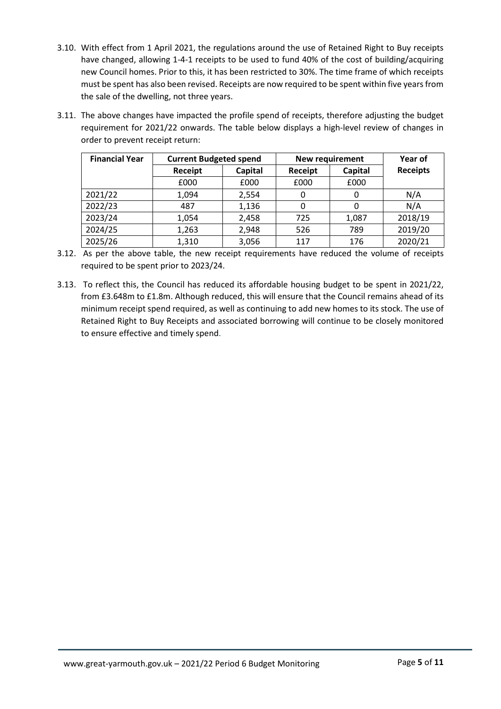- 3.10. With effect from 1 April 2021, the regulations around the use of Retained Right to Buy receipts have changed, allowing 1-4-1 receipts to be used to fund 40% of the cost of building/acquiring new Council homes. Prior to this, it has been restricted to 30%. The time frame of which receipts must be spent has also been revised. Receipts are now required to be spent within five years from the sale of the dwelling, not three years.
- 3.11. The above changes have impacted the profile spend of receipts, therefore adjusting the budget requirement for 2021/22 onwards. The table below displays a high-level review of changes in order to prevent receipt return:

| <b>Financial Year</b> | <b>Current Budgeted spend</b> |         | New requirement | Year of |                 |
|-----------------------|-------------------------------|---------|-----------------|---------|-----------------|
|                       | Receipt                       | Capital |                 | Capital | <b>Receipts</b> |
|                       | £000                          | £000    | £000            | £000    |                 |
| 2021/22               | 1,094                         | 2,554   | 0               | 0       | N/A             |
| 2022/23               | 487                           | 1,136   | 0               | 0       | N/A             |
| 2023/24               | 1,054                         | 2,458   | 725             | 1,087   | 2018/19         |
| 2024/25               | 1,263                         | 2,948   | 526             | 789     | 2019/20         |
| 2025/26               | 1,310                         | 3,056   | 117             | 176     | 2020/21         |

- 3.12. As per the above table, the new receipt requirements have reduced the volume of receipts required to be spent prior to 2023/24.
- 3.13. To reflect this, the Council has reduced its affordable housing budget to be spent in 2021/22, from £3.648m to £1.8m. Although reduced, this will ensure that the Council remains ahead of its minimum receipt spend required, as well as continuing to add new homes to its stock. The use of Retained Right to Buy Receipts and associated borrowing will continue to be closely monitored to ensure effective and timely spend.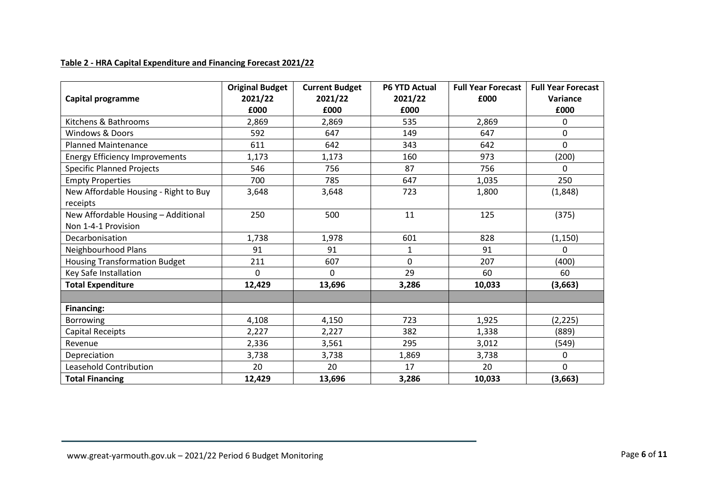## **Table 2 - HRA Capital Expenditure and Financing Forecast 2021/22**

|                                       | <b>Original Budget</b> | <b>Current Budget</b> | <b>P6 YTD Actual</b> | <b>Full Year Forecast</b> | <b>Full Year Forecast</b> |
|---------------------------------------|------------------------|-----------------------|----------------------|---------------------------|---------------------------|
| Capital programme                     | 2021/22                | 2021/22               | 2021/22              | £000                      | Variance                  |
|                                       | £000                   | £000                  | £000                 |                           | £000                      |
| Kitchens & Bathrooms                  | 2,869                  | 2,869                 | 535                  | 2,869                     | 0                         |
| <b>Windows &amp; Doors</b>            | 592                    | 647                   | 149                  | 647                       | 0                         |
| <b>Planned Maintenance</b>            | 611                    | 642                   | 343                  | 642                       | 0                         |
| <b>Energy Efficiency Improvements</b> | 1,173                  | 1,173                 | 160                  | 973                       | (200)                     |
| <b>Specific Planned Projects</b>      | 546                    | 756                   | 87                   | 756                       | 0                         |
| <b>Empty Properties</b>               | 700                    | 785                   | 647                  | 1,035                     | 250                       |
| New Affordable Housing - Right to Buy | 3,648                  | 3,648                 | 723                  | 1,800                     | (1,848)                   |
| receipts                              |                        |                       |                      |                           |                           |
| New Affordable Housing - Additional   | 250                    | 500                   | 11                   | 125                       | (375)                     |
| Non 1-4-1 Provision                   |                        |                       |                      |                           |                           |
| Decarbonisation                       | 1,738                  | 1,978                 | 601                  | 828                       | (1, 150)                  |
| Neighbourhood Plans                   | 91                     | 91                    | 1                    | 91                        | 0                         |
| <b>Housing Transformation Budget</b>  | 211                    | 607                   | 0                    | 207                       | (400)                     |
| Key Safe Installation                 | $\Omega$               | $\Omega$              | 29                   | 60                        | 60                        |
| <b>Total Expenditure</b>              | 12,429                 | 13,696                | 3,286                | 10,033                    | (3,663)                   |
|                                       |                        |                       |                      |                           |                           |
| <b>Financing:</b>                     |                        |                       |                      |                           |                           |
| Borrowing                             | 4,108                  | 4,150                 | 723                  | 1,925                     | (2, 225)                  |
| <b>Capital Receipts</b>               | 2,227                  | 2,227                 | 382                  | 1,338                     | (889)                     |
| Revenue                               | 2,336                  | 3,561                 | 295                  | 3,012                     | (549)                     |
| Depreciation                          | 3,738                  | 3,738                 | 1,869                | 3,738                     | 0                         |
| Leasehold Contribution                | 20                     | 20                    | 17                   | 20                        | 0                         |
| <b>Total Financing</b>                | 12,429                 | 13,696                | 3,286                | 10,033                    | (3,663)                   |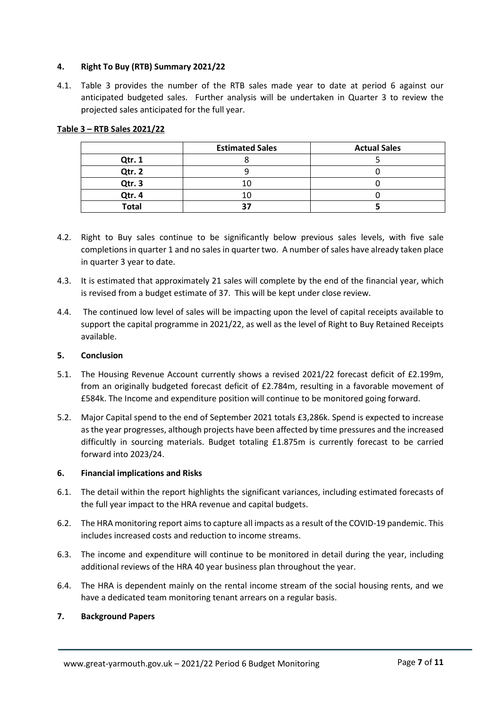### **4. Right To Buy (RTB) Summary 2021/22**

4.1. Table 3 provides the number of the RTB sales made year to date at period 6 against our anticipated budgeted sales. Further analysis will be undertaken in Quarter 3 to review the projected sales anticipated for the full year.

|              | <b>Estimated Sales</b> | <b>Actual Sales</b> |
|--------------|------------------------|---------------------|
| Qtr. 1       |                        |                     |
| Qtr. 2       |                        |                     |
| Qtr. 3       |                        |                     |
| Qtr. 4       |                        |                     |
| <b>Total</b> | 37                     |                     |

#### **Table 3 – RTB Sales 2021/22**

- 4.2. Right to Buy sales continue to be significantly below previous sales levels, with five sale completions in quarter 1 and no sales in quarter two. A number of sales have already taken place in quarter 3 year to date.
- 4.3. It is estimated that approximately 21 sales will complete by the end of the financial year, which is revised from a budget estimate of 37. This will be kept under close review.
- 4.4. The continued low level of sales will be impacting upon the level of capital receipts available to support the capital programme in 2021/22, as well as the level of Right to Buy Retained Receipts available.

#### **5. Conclusion**

- 5.1. The Housing Revenue Account currently shows a revised 2021/22 forecast deficit of £2.199m, from an originally budgeted forecast deficit of £2.784m, resulting in a favorable movement of £584k. The Income and expenditure position will continue to be monitored going forward.
- 5.2. Major Capital spend to the end of September 2021 totals £3,286k. Spend is expected to increase as the year progresses, although projects have been affected by time pressures and the increased difficultly in sourcing materials. Budget totaling £1.875m is currently forecast to be carried forward into 2023/24.

#### **6. Financial implications and Risks**

- 6.1. The detail within the report highlights the significant variances, including estimated forecasts of the full year impact to the HRA revenue and capital budgets.
- 6.2. The HRA monitoring report aims to capture all impacts as a result of the COVID-19 pandemic. This includes increased costs and reduction to income streams.
- 6.3. The income and expenditure will continue to be monitored in detail during the year, including additional reviews of the HRA 40 year business plan throughout the year.
- 6.4. The HRA is dependent mainly on the rental income stream of the social housing rents, and we have a dedicated team monitoring tenant arrears on a regular basis.

#### **7. Background Papers**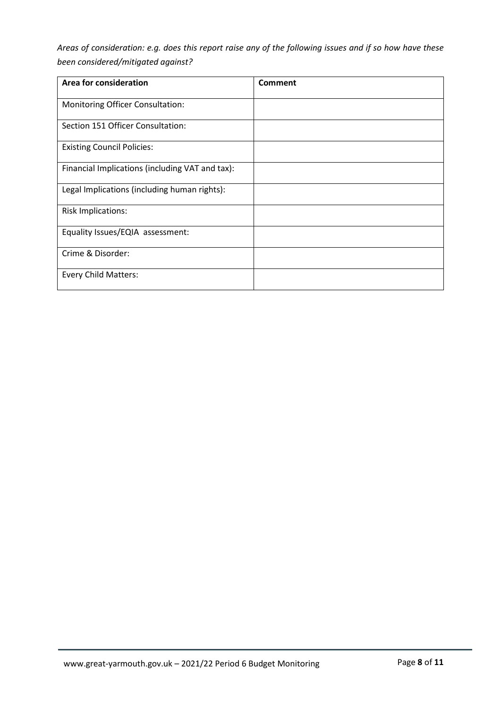*Areas of consideration: e.g. does this report raise any of the following issues and if so how have these been considered/mitigated against?* 

| Area for consideration                          | Comment |
|-------------------------------------------------|---------|
| <b>Monitoring Officer Consultation:</b>         |         |
| Section 151 Officer Consultation:               |         |
| <b>Existing Council Policies:</b>               |         |
| Financial Implications (including VAT and tax): |         |
| Legal Implications (including human rights):    |         |
| <b>Risk Implications:</b>                       |         |
| Equality Issues/EQIA assessment:                |         |
| Crime & Disorder:                               |         |
| <b>Every Child Matters:</b>                     |         |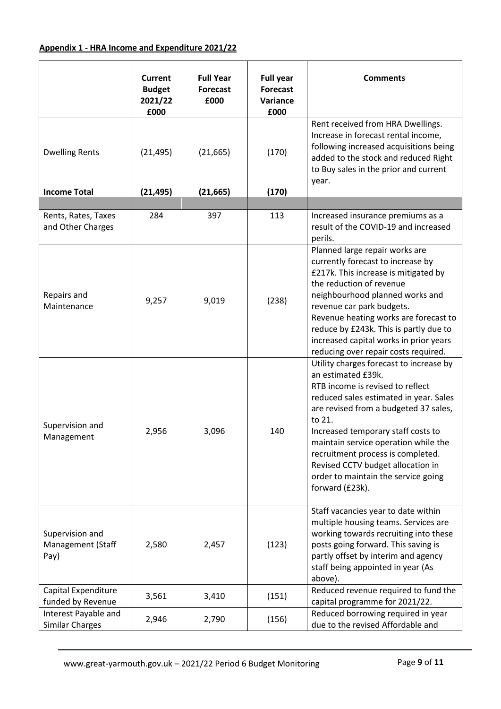# **Appendix 1 - HRA Income and Expenditure 2021/22**

|                                                     | <b>Current</b><br><b>Budget</b><br>2021/22<br>£000 | <b>Full Year</b><br><b>Forecast</b><br>£000 | <b>Full year</b><br><b>Forecast</b><br>Variance<br>£000 | <b>Comments</b>                                                                                                                                                                                                                                                                                                                                                                                                  |
|-----------------------------------------------------|----------------------------------------------------|---------------------------------------------|---------------------------------------------------------|------------------------------------------------------------------------------------------------------------------------------------------------------------------------------------------------------------------------------------------------------------------------------------------------------------------------------------------------------------------------------------------------------------------|
| <b>Dwelling Rents</b>                               | (21, 495)                                          | (21, 665)                                   | (170)                                                   | Rent received from HRA Dwellings.<br>Increase in forecast rental income,<br>following increased acquisitions being<br>added to the stock and reduced Right<br>to Buy sales in the prior and current<br>year.                                                                                                                                                                                                     |
| <b>Income Total</b>                                 | (21, 495)                                          | (21, 665)                                   | (170)                                                   |                                                                                                                                                                                                                                                                                                                                                                                                                  |
| Rents, Rates, Taxes<br>and Other Charges            | 284                                                | 397                                         | 113                                                     | Increased insurance premiums as a<br>result of the COVID-19 and increased<br>perils.                                                                                                                                                                                                                                                                                                                             |
| Repairs and<br>Maintenance                          | 9,257                                              | 9,019                                       | (238)                                                   | Planned large repair works are<br>currently forecast to increase by<br>£217k. This increase is mitigated by<br>the reduction of revenue<br>neighbourhood planned works and<br>revenue car park budgets.<br>Revenue heating works are forecast to<br>reduce by £243k. This is partly due to<br>increased capital works in prior years<br>reducing over repair costs required.                                     |
| Supervision and<br>Management                       | 2,956                                              | 3,096                                       | 140                                                     | Utility charges forecast to increase by<br>an estimated £39k.<br>RTB income is revised to reflect<br>reduced sales estimated in year. Sales<br>are revised from a budgeted 37 sales,<br>to 21.<br>Increased temporary staff costs to<br>maintain service operation while the<br>recruitment process is completed.<br>Revised CCTV budget allocation in<br>order to maintain the service going<br>forward (£23k). |
| Supervision and<br><b>Management (Staff</b><br>Pay) | 2,580                                              | 2,457                                       | (123)                                                   | Staff vacancies year to date within<br>multiple housing teams. Services are<br>working towards recruiting into these<br>posts going forward. This saving is<br>partly offset by interim and agency<br>staff being appointed in year (As<br>above).                                                                                                                                                               |
| Capital Expenditure<br>funded by Revenue            | 3,561                                              | 3,410                                       | (151)                                                   | Reduced revenue required to fund the<br>capital programme for 2021/22.                                                                                                                                                                                                                                                                                                                                           |
| Interest Payable and<br><b>Similar Charges</b>      | 2,946                                              | 2,790                                       | (156)                                                   | Reduced borrowing required in year<br>due to the revised Affordable and                                                                                                                                                                                                                                                                                                                                          |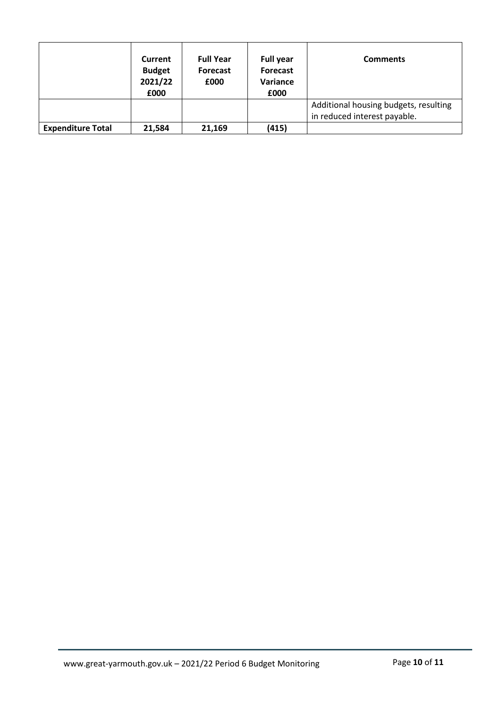|                          | Current<br><b>Budget</b><br>2021/22<br>£000 | <b>Full Year</b><br><b>Forecast</b><br>£000 | <b>Full year</b><br>Forecast<br>Variance<br>£000 | <b>Comments</b>                                                       |
|--------------------------|---------------------------------------------|---------------------------------------------|--------------------------------------------------|-----------------------------------------------------------------------|
|                          |                                             |                                             |                                                  | Additional housing budgets, resulting<br>in reduced interest payable. |
| <b>Expenditure Total</b> | 21,584                                      | 21,169                                      | (415)                                            |                                                                       |